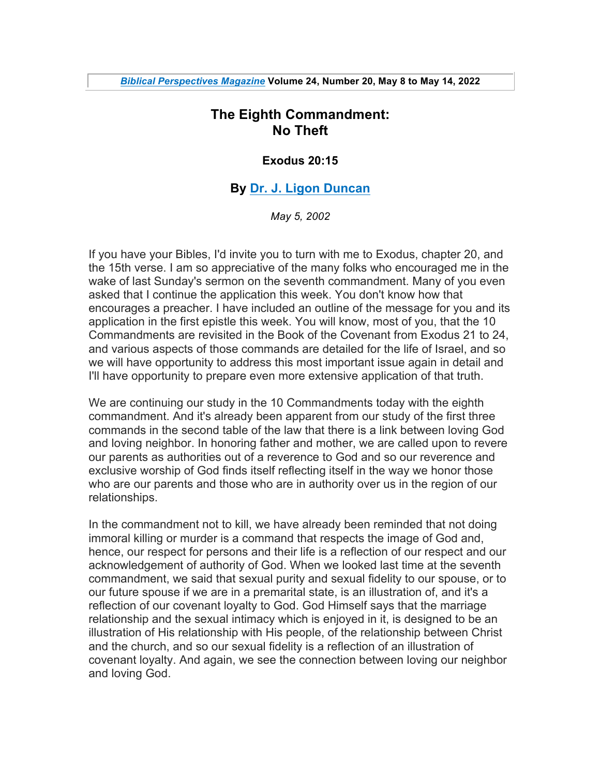# **The Eighth Commandment: No Theft**

#### **Exodus 20:15**

## **By Dr. J. Ligon Duncan**

*May 5, 2002*

If you have your Bibles, I'd invite you to turn with me to Exodus, chapter 20, and the 15th verse. I am so appreciative of the many folks who encouraged me in the wake of last Sunday's sermon on the seventh commandment. Many of you even asked that I continue the application this week. You don't know how that encourages a preacher. I have included an outline of the message for you and its application in the first epistle this week. You will know, most of you, that the 10 Commandments are revisited in the Book of the Covenant from Exodus 21 to 24, and various aspects of those commands are detailed for the life of Israel, and so we will have opportunity to address this most important issue again in detail and I'll have opportunity to prepare even more extensive application of that truth.

We are continuing our study in the 10 Commandments today with the eighth commandment. And it's already been apparent from our study of the first three commands in the second table of the law that there is a link between loving God and loving neighbor. In honoring father and mother, we are called upon to revere our parents as authorities out of a reverence to God and so our reverence and exclusive worship of God finds itself reflecting itself in the way we honor those who are our parents and those who are in authority over us in the region of our relationships.

In the commandment not to kill, we have already been reminded that not doing immoral killing or murder is a command that respects the image of God and, hence, our respect for persons and their life is a reflection of our respect and our acknowledgement of authority of God. When we looked last time at the seventh commandment, we said that sexual purity and sexual fidelity to our spouse, or to our future spouse if we are in a premarital state, is an illustration of, and it's a reflection of our covenant loyalty to God. God Himself says that the marriage relationship and the sexual intimacy which is enjoyed in it, is designed to be an illustration of His relationship with His people, of the relationship between Christ and the church, and so our sexual fidelity is a reflection of an illustration of covenant loyalty. And again, we see the connection between loving our neighbor and loving God.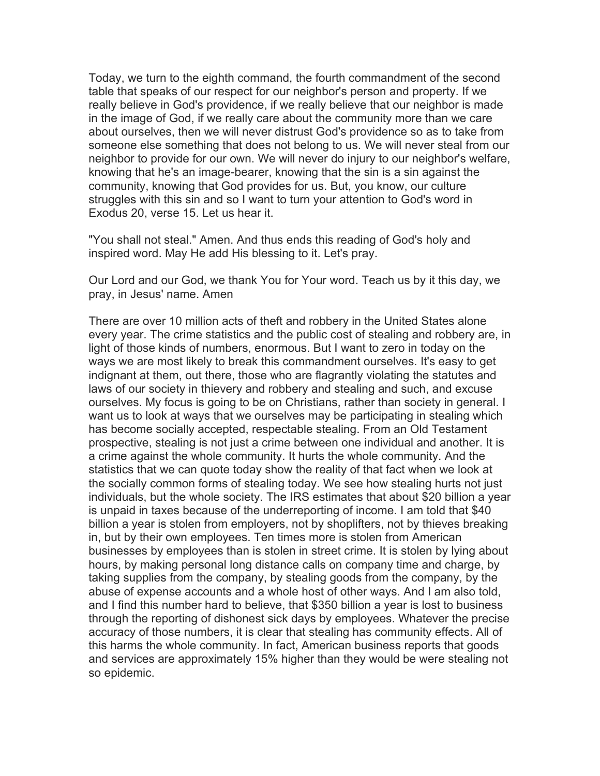Today, we turn to the eighth command, the fourth commandment of the second table that speaks of our respect for our neighbor's person and property. If we really believe in God's providence, if we really believe that our neighbor is made in the image of God, if we really care about the community more than we care about ourselves, then we will never distrust God's providence so as to take from someone else something that does not belong to us. We will never steal from our neighbor to provide for our own. We will never do injury to our neighbor's welfare, knowing that he's an image-bearer, knowing that the sin is a sin against the community, knowing that God provides for us. But, you know, our culture struggles with this sin and so I want to turn your attention to God's word in Exodus 20, verse 15. Let us hear it.

"You shall not steal." Amen. And thus ends this reading of God's holy and inspired word. May He add His blessing to it. Let's pray.

Our Lord and our God, we thank You for Your word. Teach us by it this day, we pray, in Jesus' name. Amen

There are over 10 million acts of theft and robbery in the United States alone every year. The crime statistics and the public cost of stealing and robbery are, in light of those kinds of numbers, enormous. But I want to zero in today on the ways we are most likely to break this commandment ourselves. It's easy to get indignant at them, out there, those who are flagrantly violating the statutes and laws of our society in thievery and robbery and stealing and such, and excuse ourselves. My focus is going to be on Christians, rather than society in general. I want us to look at ways that we ourselves may be participating in stealing which has become socially accepted, respectable stealing. From an Old Testament prospective, stealing is not just a crime between one individual and another. It is a crime against the whole community. It hurts the whole community. And the statistics that we can quote today show the reality of that fact when we look at the socially common forms of stealing today. We see how stealing hurts not just individuals, but the whole society. The IRS estimates that about \$20 billion a year is unpaid in taxes because of the underreporting of income. I am told that \$40 billion a year is stolen from employers, not by shoplifters, not by thieves breaking in, but by their own employees. Ten times more is stolen from American businesses by employees than is stolen in street crime. It is stolen by lying about hours, by making personal long distance calls on company time and charge, by taking supplies from the company, by stealing goods from the company, by the abuse of expense accounts and a whole host of other ways. And I am also told, and I find this number hard to believe, that \$350 billion a year is lost to business through the reporting of dishonest sick days by employees. Whatever the precise accuracy of those numbers, it is clear that stealing has community effects. All of this harms the whole community. In fact, American business reports that goods and services are approximately 15% higher than they would be were stealing not so epidemic.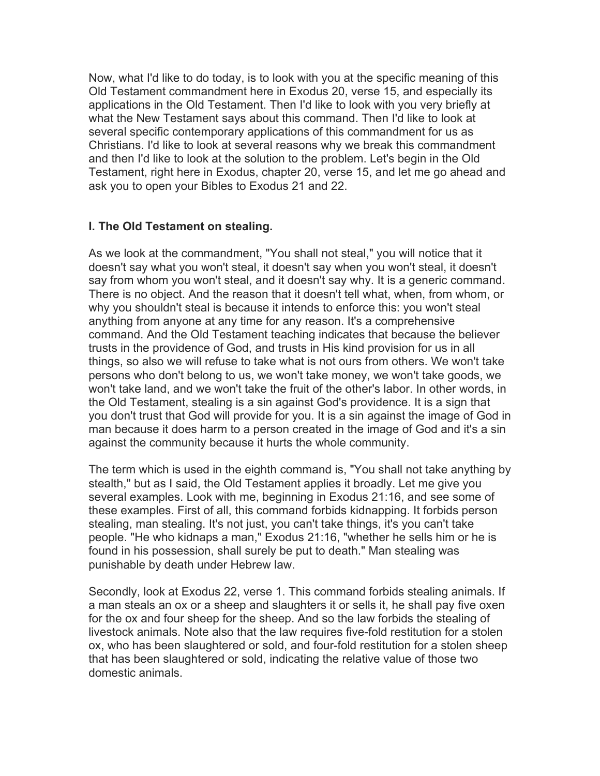Now, what I'd like to do today, is to look with you at the specific meaning of this Old Testament commandment here in Exodus 20, verse 15, and especially its applications in the Old Testament. Then I'd like to look with you very briefly at what the New Testament says about this command. Then I'd like to look at several specific contemporary applications of this commandment for us as Christians. I'd like to look at several reasons why we break this commandment and then I'd like to look at the solution to the problem. Let's begin in the Old Testament, right here in Exodus, chapter 20, verse 15, and let me go ahead and ask you to open your Bibles to Exodus 21 and 22.

### **I. The Old Testament on stealing.**

As we look at the commandment, "You shall not steal," you will notice that it doesn't say what you won't steal, it doesn't say when you won't steal, it doesn't say from whom you won't steal, and it doesn't say why. It is a generic command. There is no object. And the reason that it doesn't tell what, when, from whom, or why you shouldn't steal is because it intends to enforce this: you won't steal anything from anyone at any time for any reason. It's a comprehensive command. And the Old Testament teaching indicates that because the believer trusts in the providence of God, and trusts in His kind provision for us in all things, so also we will refuse to take what is not ours from others. We won't take persons who don't belong to us, we won't take money, we won't take goods, we won't take land, and we won't take the fruit of the other's labor. In other words, in the Old Testament, stealing is a sin against God's providence. It is a sign that you don't trust that God will provide for you. It is a sin against the image of God in man because it does harm to a person created in the image of God and it's a sin against the community because it hurts the whole community.

The term which is used in the eighth command is, "You shall not take anything by stealth," but as I said, the Old Testament applies it broadly. Let me give you several examples. Look with me, beginning in Exodus 21:16, and see some of these examples. First of all, this command forbids kidnapping. It forbids person stealing, man stealing. It's not just, you can't take things, it's you can't take people. "He who kidnaps a man," Exodus 21:16, "whether he sells him or he is found in his possession, shall surely be put to death." Man stealing was punishable by death under Hebrew law.

Secondly, look at Exodus 22, verse 1. This command forbids stealing animals. If a man steals an ox or a sheep and slaughters it or sells it, he shall pay five oxen for the ox and four sheep for the sheep. And so the law forbids the stealing of livestock animals. Note also that the law requires five-fold restitution for a stolen ox, who has been slaughtered or sold, and four-fold restitution for a stolen sheep that has been slaughtered or sold, indicating the relative value of those two domestic animals.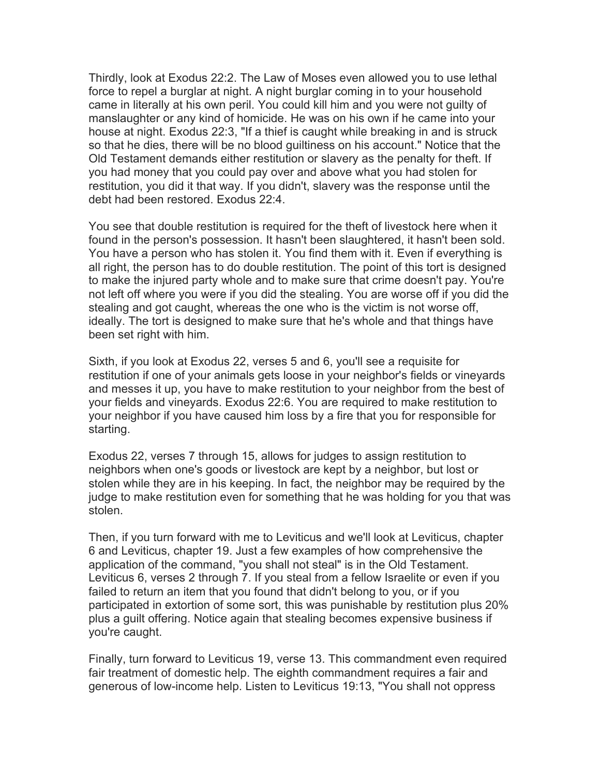Thirdly, look at Exodus 22:2. The Law of Moses even allowed you to use lethal force to repel a burglar at night. A night burglar coming in to your household came in literally at his own peril. You could kill him and you were not guilty of manslaughter or any kind of homicide. He was on his own if he came into your house at night. Exodus 22:3, "If a thief is caught while breaking in and is struck so that he dies, there will be no blood guiltiness on his account." Notice that the Old Testament demands either restitution or slavery as the penalty for theft. If you had money that you could pay over and above what you had stolen for restitution, you did it that way. If you didn't, slavery was the response until the debt had been restored. Exodus 22:4.

You see that double restitution is required for the theft of livestock here when it found in the person's possession. It hasn't been slaughtered, it hasn't been sold. You have a person who has stolen it. You find them with it. Even if everything is all right, the person has to do double restitution. The point of this tort is designed to make the injured party whole and to make sure that crime doesn't pay. You're not left off where you were if you did the stealing. You are worse off if you did the stealing and got caught, whereas the one who is the victim is not worse off, ideally. The tort is designed to make sure that he's whole and that things have been set right with him.

Sixth, if you look at Exodus 22, verses 5 and 6, you'll see a requisite for restitution if one of your animals gets loose in your neighbor's fields or vineyards and messes it up, you have to make restitution to your neighbor from the best of your fields and vineyards. Exodus 22:6. You are required to make restitution to your neighbor if you have caused him loss by a fire that you for responsible for starting.

Exodus 22, verses 7 through 15, allows for judges to assign restitution to neighbors when one's goods or livestock are kept by a neighbor, but lost or stolen while they are in his keeping. In fact, the neighbor may be required by the judge to make restitution even for something that he was holding for you that was stolen.

Then, if you turn forward with me to Leviticus and we'll look at Leviticus, chapter 6 and Leviticus, chapter 19. Just a few examples of how comprehensive the application of the command, "you shall not steal" is in the Old Testament. Leviticus 6, verses 2 through 7. If you steal from a fellow Israelite or even if you failed to return an item that you found that didn't belong to you, or if you participated in extortion of some sort, this was punishable by restitution plus 20% plus a guilt offering. Notice again that stealing becomes expensive business if you're caught.

Finally, turn forward to Leviticus 19, verse 13. This commandment even required fair treatment of domestic help. The eighth commandment requires a fair and generous of low-income help. Listen to Leviticus 19:13, "You shall not oppress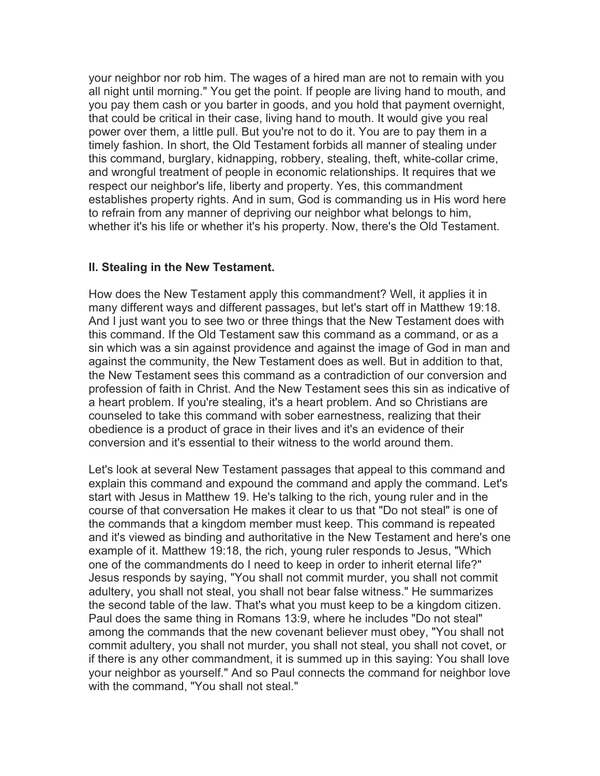your neighbor nor rob him. The wages of a hired man are not to remain with you all night until morning." You get the point. If people are living hand to mouth, and you pay them cash or you barter in goods, and you hold that payment overnight, that could be critical in their case, living hand to mouth. It would give you real power over them, a little pull. But you're not to do it. You are to pay them in a timely fashion. In short, the Old Testament forbids all manner of stealing under this command, burglary, kidnapping, robbery, stealing, theft, white-collar crime, and wrongful treatment of people in economic relationships. It requires that we respect our neighbor's life, liberty and property. Yes, this commandment establishes property rights. And in sum, God is commanding us in His word here to refrain from any manner of depriving our neighbor what belongs to him, whether it's his life or whether it's his property. Now, there's the Old Testament.

#### **II. Stealing in the New Testament.**

How does the New Testament apply this commandment? Well, it applies it in many different ways and different passages, but let's start off in Matthew 19:18. And I just want you to see two or three things that the New Testament does with this command. If the Old Testament saw this command as a command, or as a sin which was a sin against providence and against the image of God in man and against the community, the New Testament does as well. But in addition to that, the New Testament sees this command as a contradiction of our conversion and profession of faith in Christ. And the New Testament sees this sin as indicative of a heart problem. If you're stealing, it's a heart problem. And so Christians are counseled to take this command with sober earnestness, realizing that their obedience is a product of grace in their lives and it's an evidence of their conversion and it's essential to their witness to the world around them.

Let's look at several New Testament passages that appeal to this command and explain this command and expound the command and apply the command. Let's start with Jesus in Matthew 19. He's talking to the rich, young ruler and in the course of that conversation He makes it clear to us that "Do not steal" is one of the commands that a kingdom member must keep. This command is repeated and it's viewed as binding and authoritative in the New Testament and here's one example of it. Matthew 19:18, the rich, young ruler responds to Jesus, "Which one of the commandments do I need to keep in order to inherit eternal life?" Jesus responds by saying, "You shall not commit murder, you shall not commit adultery, you shall not steal, you shall not bear false witness." He summarizes the second table of the law. That's what you must keep to be a kingdom citizen. Paul does the same thing in Romans 13:9, where he includes "Do not steal" among the commands that the new covenant believer must obey, "You shall not commit adultery, you shall not murder, you shall not steal, you shall not covet, or if there is any other commandment, it is summed up in this saying: You shall love your neighbor as yourself." And so Paul connects the command for neighbor love with the command, "You shall not steal."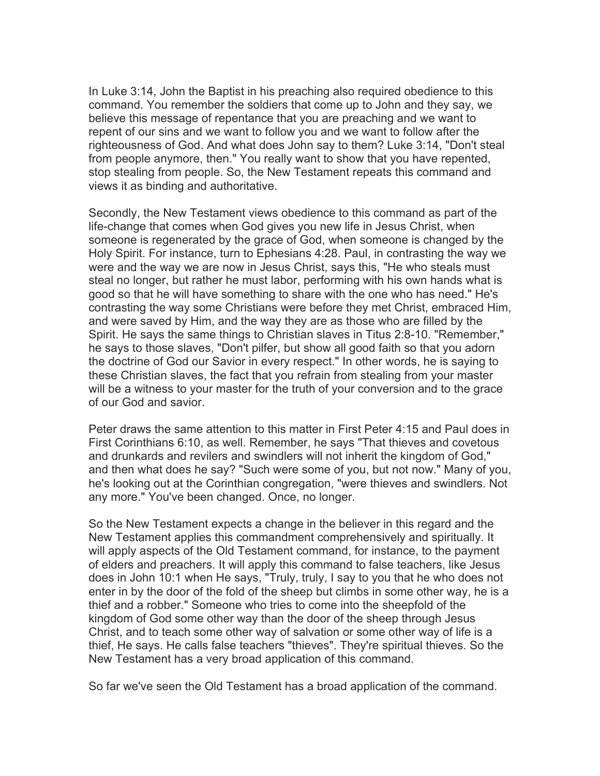In Luke 3:14, John the Baptist in his preaching also required obedience to this command. You remember the soldiers that come up to John and they say, we believe this message of repentance that you are preaching and we want to repent of our sins and we want to follow you and we want to follow after the righteousness of God. And what does John say to them? Luke 3:14, "Don't steal from people anymore, then." You really want to show that you have repented, stop stealing from people. So, the New Testament repeats this command and views it as binding and authoritative.

Secondly, the New Testament views obedience to this command as part of the life-change that comes when God gives you new life in Jesus Christ, when someone is regenerated by the grace of God, when someone is changed by the Holy Spirit. For instance, turn to Ephesians 4:28. Paul, in contrasting the way we were and the way we are now in Jesus Christ, says this, "He who steals must steal no longer, but rather he must labor, performing with his own hands what is good so that he will have something to share with the one who has need." He's contrasting the way some Christians were before they met Christ, embraced Him, and were saved by Him, and the way they are as those who are filled by the Spirit. He says the same things to Christian slaves in Titus 2:8-10. "Remember," he says to those slaves, "Don't pilfer, but show all good faith so that you adorn the doctrine of God our Savior in every respect." In other words, he is saying to these Christian slaves, the fact that you refrain from stealing from your master will be a witness to your master for the truth of your conversion and to the grace of our God and savior.

Peter draws the same attention to this matter in First Peter 4:15 and Paul does in First Corinthians 6:10, as well. Remember, he says "That thieves and covetous and drunkards and revilers and swindlers will not inherit the kingdom of God," and then what does he say? "Such were some of you, but not now." Many of you, he's looking out at the Corinthian congregation, "were thieves and swindlers. Not any more." You've been changed. Once, no longer.

So the New Testament expects a change in the believer in this regard and the New Testament applies this commandment comprehensively and spiritually. It will apply aspects of the Old Testament command, for instance, to the payment of elders and preachers. It will apply this command to false teachers, like Jesus does in John 10:1 when He says, "Truly, truly, I say to you that he who does not enter in by the door of the fold of the sheep but climbs in some other way, he is a thief and a robber." Someone who tries to come into the sheepfold of the kingdom of God some other way than the door of the sheep through Jesus Christ, and to teach some other way of salvation or some other way of life is a thief, He says. He calls false teachers "thieves". They're spiritual thieves. So the New Testament has a very broad application of this command.

So far we've seen the Old Testament has a broad application of the command.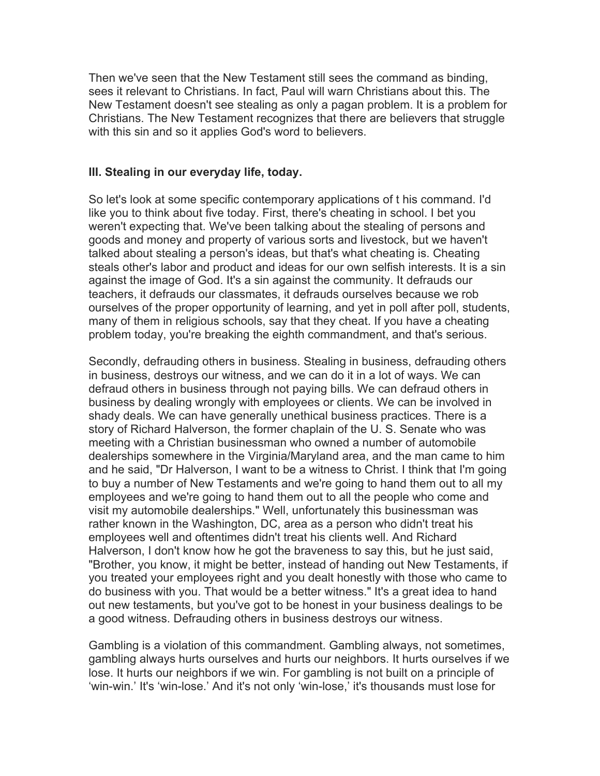Then we've seen that the New Testament still sees the command as binding, sees it relevant to Christians. In fact, Paul will warn Christians about this. The New Testament doesn't see stealing as only a pagan problem. It is a problem for Christians. The New Testament recognizes that there are believers that struggle with this sin and so it applies God's word to believers.

#### **III. Stealing in our everyday life, today.**

So let's look at some specific contemporary applications of t his command. I'd like you to think about five today. First, there's cheating in school. I bet you weren't expecting that. We've been talking about the stealing of persons and goods and money and property of various sorts and livestock, but we haven't talked about stealing a person's ideas, but that's what cheating is. Cheating steals other's labor and product and ideas for our own selfish interests. It is a sin against the image of God. It's a sin against the community. It defrauds our teachers, it defrauds our classmates, it defrauds ourselves because we rob ourselves of the proper opportunity of learning, and yet in poll after poll, students, many of them in religious schools, say that they cheat. If you have a cheating problem today, you're breaking the eighth commandment, and that's serious.

Secondly, defrauding others in business. Stealing in business, defrauding others in business, destroys our witness, and we can do it in a lot of ways. We can defraud others in business through not paying bills. We can defraud others in business by dealing wrongly with employees or clients. We can be involved in shady deals. We can have generally unethical business practices. There is a story of Richard Halverson, the former chaplain of the U. S. Senate who was meeting with a Christian businessman who owned a number of automobile dealerships somewhere in the Virginia/Maryland area, and the man came to him and he said, "Dr Halverson, I want to be a witness to Christ. I think that I'm going to buy a number of New Testaments and we're going to hand them out to all my employees and we're going to hand them out to all the people who come and visit my automobile dealerships." Well, unfortunately this businessman was rather known in the Washington, DC, area as a person who didn't treat his employees well and oftentimes didn't treat his clients well. And Richard Halverson, I don't know how he got the braveness to say this, but he just said, "Brother, you know, it might be better, instead of handing out New Testaments, if you treated your employees right and you dealt honestly with those who came to do business with you. That would be a better witness." It's a great idea to hand out new testaments, but you've got to be honest in your business dealings to be a good witness. Defrauding others in business destroys our witness.

Gambling is a violation of this commandment. Gambling always, not sometimes, gambling always hurts ourselves and hurts our neighbors. It hurts ourselves if we lose. It hurts our neighbors if we win. For gambling is not built on a principle of 'win-win.' It's 'win-lose.' And it's not only 'win-lose,' it's thousands must lose for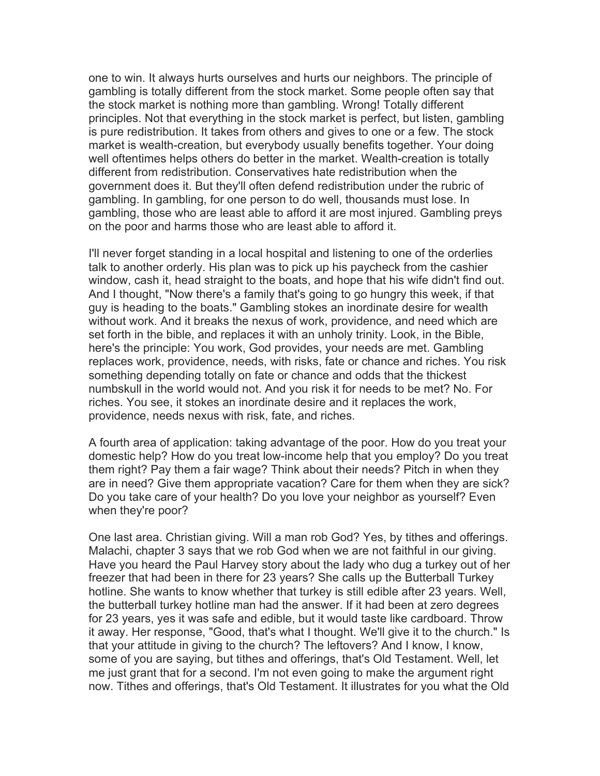one to win. It always hurts ourselves and hurts our neighbors. The principle of gambling is totally different from the stock market. Some people often say that the stock market is nothing more than gambling. Wrong! Totally different principles. Not that everything in the stock market is perfect, but listen, gambling is pure redistribution. It takes from others and gives to one or a few. The stock market is wealth-creation, but everybody usually benefits together. Your doing well oftentimes helps others do better in the market. Wealth-creation is totally different from redistribution. Conservatives hate redistribution when the government does it. But they'll often defend redistribution under the rubric of gambling. In gambling, for one person to do well, thousands must lose. In gambling, those who are least able to afford it are most injured. Gambling preys on the poor and harms those who are least able to afford it.

I'll never forget standing in a local hospital and listening to one of the orderlies talk to another orderly. His plan was to pick up his paycheck from the cashier window, cash it, head straight to the boats, and hope that his wife didn't find out. And I thought, "Now there's a family that's going to go hungry this week, if that guy is heading to the boats." Gambling stokes an inordinate desire for wealth without work. And it breaks the nexus of work, providence, and need which are set forth in the bible, and replaces it with an unholy trinity. Look, in the Bible, here's the principle: You work, God provides, your needs are met. Gambling replaces work, providence, needs, with risks, fate or chance and riches. You risk something depending totally on fate or chance and odds that the thickest numbskull in the world would not. And you risk it for needs to be met? No. For riches. You see, it stokes an inordinate desire and it replaces the work, providence, needs nexus with risk, fate, and riches.

A fourth area of application: taking advantage of the poor. How do you treat your domestic help? How do you treat low-income help that you employ? Do you treat them right? Pay them a fair wage? Think about their needs? Pitch in when they are in need? Give them appropriate vacation? Care for them when they are sick? Do you take care of your health? Do you love your neighbor as yourself? Even when they're poor?

One last area. Christian giving. Will a man rob God? Yes, by tithes and offerings. Malachi, chapter 3 says that we rob God when we are not faithful in our giving. Have you heard the Paul Harvey story about the lady who dug a turkey out of her freezer that had been in there for 23 years? She calls up the Butterball Turkey hotline. She wants to know whether that turkey is still edible after 23 years. Well, the butterball turkey hotline man had the answer. If it had been at zero degrees for 23 years, yes it was safe and edible, but it would taste like cardboard. Throw it away. Her response, "Good, that's what I thought. We'll give it to the church." Is that your attitude in giving to the church? The leftovers? And I know, I know, some of you are saying, but tithes and offerings, that's Old Testament. Well, let me just grant that for a second. I'm not even going to make the argument right now. Tithes and offerings, that's Old Testament. It illustrates for you what the Old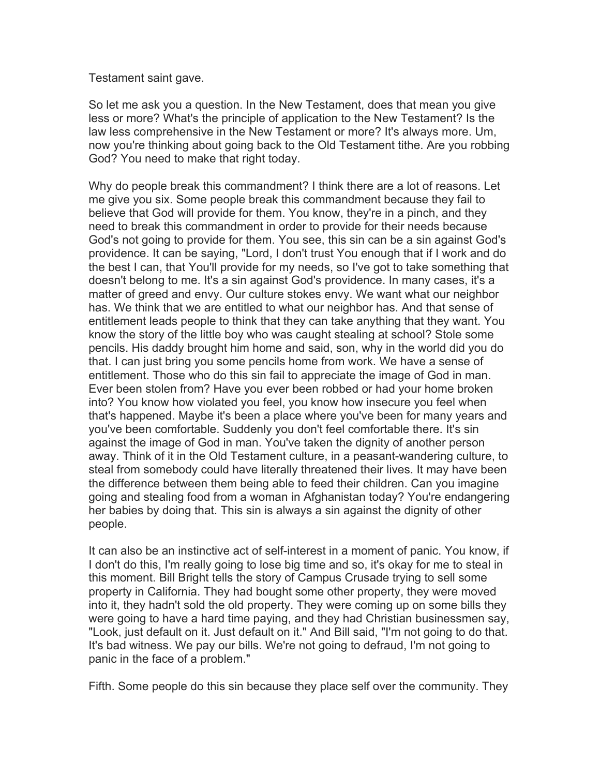Testament saint gave.

So let me ask you a question. In the New Testament, does that mean you give less or more? What's the principle of application to the New Testament? Is the law less comprehensive in the New Testament or more? It's always more. Um, now you're thinking about going back to the Old Testament tithe. Are you robbing God? You need to make that right today.

Why do people break this commandment? I think there are a lot of reasons. Let me give you six. Some people break this commandment because they fail to believe that God will provide for them. You know, they're in a pinch, and they need to break this commandment in order to provide for their needs because God's not going to provide for them. You see, this sin can be a sin against God's providence. It can be saying, "Lord, I don't trust You enough that if I work and do the best I can, that You'll provide for my needs, so I've got to take something that doesn't belong to me. It's a sin against God's providence. In many cases, it's a matter of greed and envy. Our culture stokes envy. We want what our neighbor has. We think that we are entitled to what our neighbor has. And that sense of entitlement leads people to think that they can take anything that they want. You know the story of the little boy who was caught stealing at school? Stole some pencils. His daddy brought him home and said, son, why in the world did you do that. I can just bring you some pencils home from work. We have a sense of entitlement. Those who do this sin fail to appreciate the image of God in man. Ever been stolen from? Have you ever been robbed or had your home broken into? You know how violated you feel, you know how insecure you feel when that's happened. Maybe it's been a place where you've been for many years and you've been comfortable. Suddenly you don't feel comfortable there. It's sin against the image of God in man. You've taken the dignity of another person away. Think of it in the Old Testament culture, in a peasant-wandering culture, to steal from somebody could have literally threatened their lives. It may have been the difference between them being able to feed their children. Can you imagine going and stealing food from a woman in Afghanistan today? You're endangering her babies by doing that. This sin is always a sin against the dignity of other people.

It can also be an instinctive act of self-interest in a moment of panic. You know, if I don't do this, I'm really going to lose big time and so, it's okay for me to steal in this moment. Bill Bright tells the story of Campus Crusade trying to sell some property in California. They had bought some other property, they were moved into it, they hadn't sold the old property. They were coming up on some bills they were going to have a hard time paying, and they had Christian businessmen say, "Look, just default on it. Just default on it." And Bill said, "I'm not going to do that. It's bad witness. We pay our bills. We're not going to defraud, I'm not going to panic in the face of a problem."

Fifth. Some people do this sin because they place self over the community. They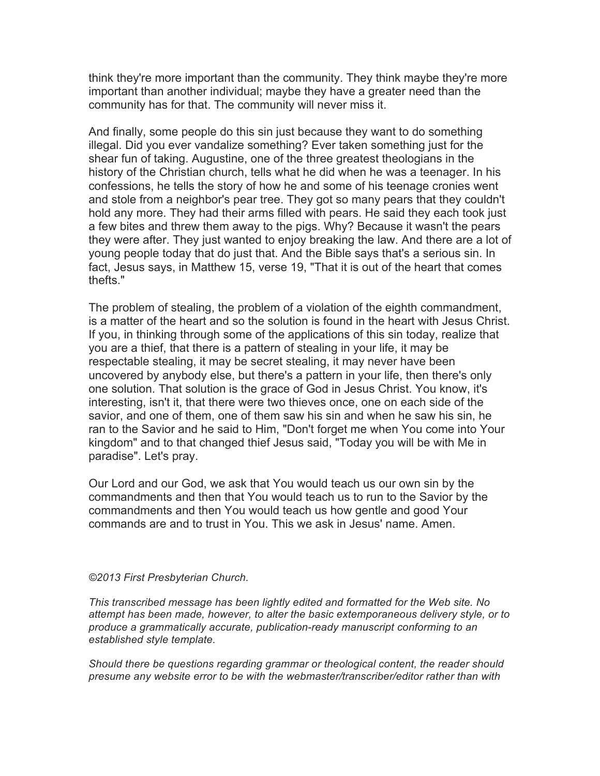think they're more important than the community. They think maybe they're more important than another individual; maybe they have a greater need than the community has for that. The community will never miss it.

And finally, some people do this sin just because they want to do something illegal. Did you ever vandalize something? Ever taken something just for the shear fun of taking. Augustine, one of the three greatest theologians in the history of the Christian church, tells what he did when he was a teenager. In his confessions, he tells the story of how he and some of his teenage cronies went and stole from a neighbor's pear tree. They got so many pears that they couldn't hold any more. They had their arms filled with pears. He said they each took just a few bites and threw them away to the pigs. Why? Because it wasn't the pears they were after. They just wanted to enjoy breaking the law. And there are a lot of young people today that do just that. And the Bible says that's a serious sin. In fact, Jesus says, in Matthew 15, verse 19, "That it is out of the heart that comes thefts."

The problem of stealing, the problem of a violation of the eighth commandment, is a matter of the heart and so the solution is found in the heart with Jesus Christ. If you, in thinking through some of the applications of this sin today, realize that you are a thief, that there is a pattern of stealing in your life, it may be respectable stealing, it may be secret stealing, it may never have been uncovered by anybody else, but there's a pattern in your life, then there's only one solution. That solution is the grace of God in Jesus Christ. You know, it's interesting, isn't it, that there were two thieves once, one on each side of the savior, and one of them, one of them saw his sin and when he saw his sin, he ran to the Savior and he said to Him, "Don't forget me when You come into Your kingdom" and to that changed thief Jesus said, "Today you will be with Me in paradise". Let's pray.

Our Lord and our God, we ask that You would teach us our own sin by the commandments and then that You would teach us to run to the Savior by the commandments and then You would teach us how gentle and good Your commands are and to trust in You. This we ask in Jesus' name. Amen.

#### *©2013 First Presbyterian Church.*

*This transcribed message has been lightly edited and formatted for the Web site. No attempt has been made, however, to alter the basic extemporaneous delivery style, or to produce a grammatically accurate, publication-ready manuscript conforming to an established style template.*

*Should there be questions regarding grammar or theological content, the reader should presume any website error to be with the webmaster/transcriber/editor rather than with*